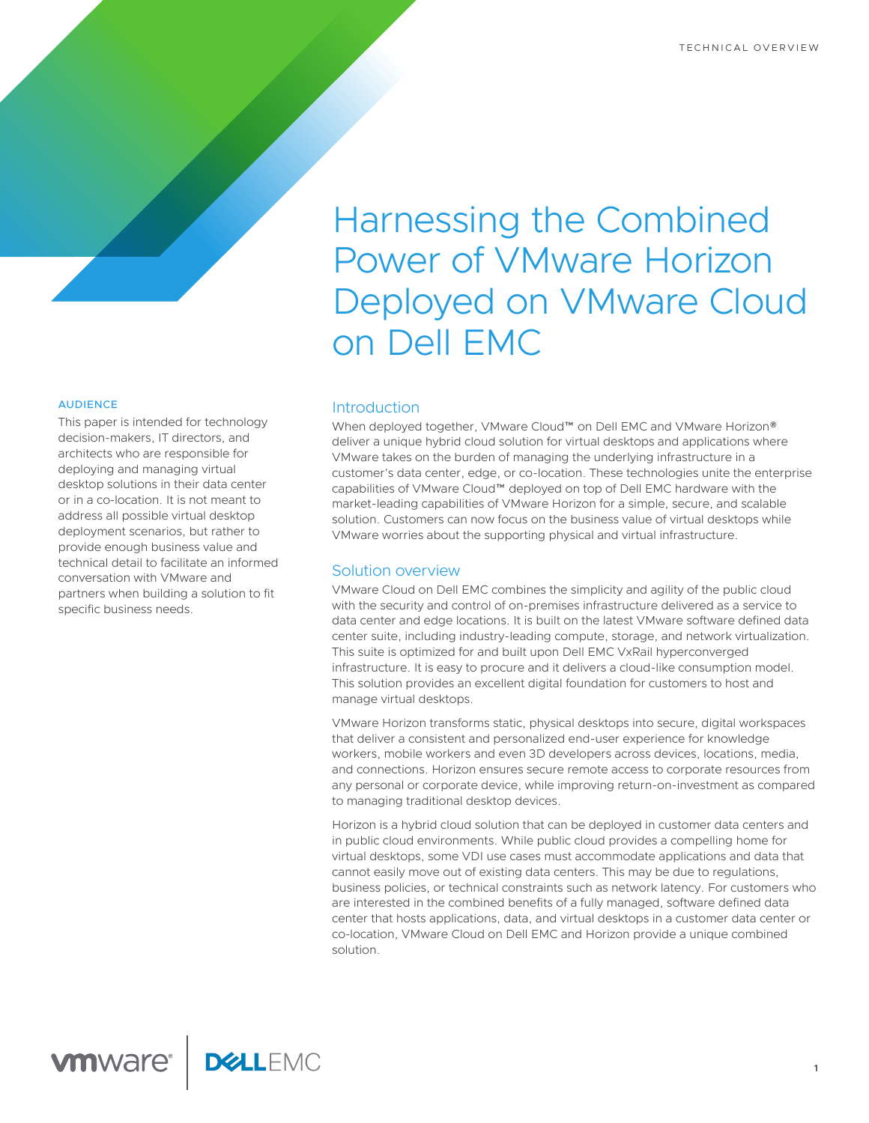#### AUDIENCE

This paper is intended for technology decision-makers, IT directors, and architects who are responsible for deploying and managing virtual desktop solutions in their data center or in a co-location. It is not meant to address all possible virtual desktop deployment scenarios, but rather to provide enough business value and technical detail to facilitate an informed conversation with VMware and partners when building a solution to fit specific business needs.

# Harnessing the Combined Power of VMware Horizon Deployed on VMware Cloud on Dell EMC

# **Introduction**

When deployed together, VMware Cloud™ on Dell EMC and VMware Horizon® deliver a unique hybrid cloud solution for virtual desktops and applications where VMware takes on the burden of managing the underlying infrastructure in a customer's data center, edge, or co-location. These technologies unite the enterprise capabilities of VMware Cloud™ deployed on top of Dell EMC hardware with the market-leading capabilities of VMware Horizon for a simple, secure, and scalable solution. Customers can now focus on the business value of virtual desktops while VMware worries about the supporting physical and virtual infrastructure.

#### Solution overview

VMware Cloud on Dell EMC combines the simplicity and agility of the public cloud with the security and control of on-premises infrastructure delivered as a service to data center and edge locations. It is built on the latest VMware software defined data center suite, including industry-leading compute, storage, and network virtualization. This suite is optimized for and built upon Dell EMC VxRail hyperconverged infrastructure. It is easy to procure and it delivers a cloud-like consumption model. This solution provides an excellent digital foundation for customers to host and manage virtual desktops.

VMware Horizon transforms static, physical desktops into secure, digital workspaces that deliver a consistent and personalized end-user experience for knowledge workers, mobile workers and even 3D developers across devices, locations, media, and connections. Horizon ensures secure remote access to corporate resources from any personal or corporate device, while improving return-on-investment as compared to managing traditional desktop devices.

Horizon is a hybrid cloud solution that can be deployed in customer data centers and in public cloud environments. While public cloud provides a compelling home for virtual desktops, some VDI use cases must accommodate applications and data that cannot easily move out of existing data centers. This may be due to regulations, business policies, or technical constraints such as network latency. For customers who are interested in the combined benefits of a fully managed, software defined data center that hosts applications, data, and virtual desktops in a customer data center or co-location, VMware Cloud on Dell EMC and Horizon provide a unique combined solution.

**1**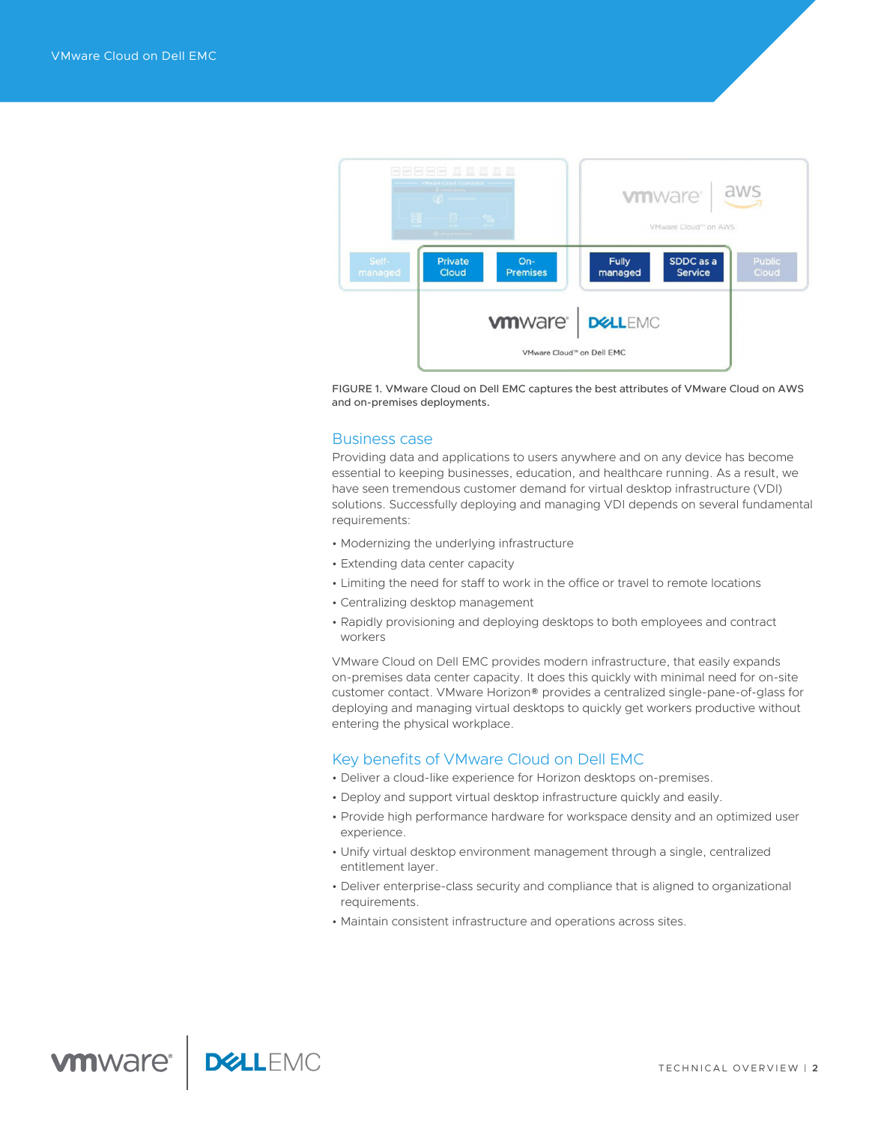

FIGURE 1. VMware Cloud on Dell EMC captures the best attributes of VMware Cloud on AWS and on-premises deployments.

# Business case

Providing data and applications to users anywhere and on any device has become essential to keeping businesses, education, and healthcare running. As a result, we have seen tremendous customer demand for virtual desktop infrastructure (VDI) solutions. Successfully deploying and managing VDI depends on several fundamental requirements:

- Modernizing the underlying infrastructure
- Extending data center capacity
- Limiting the need for staff to work in the office or travel to remote locations
- Centralizing desktop management
- Rapidly provisioning and deploying desktops to both employees and contract workers

VMware Cloud on Dell EMC provides modern infrastructure, that easily expands on-premises data center capacity. It does this quickly with minimal need for on-site customer contact. VMware Horizon® provides a centralized single-pane-of-glass for deploying and managing virtual desktops to quickly get workers productive without entering the physical workplace.

# Key benefits of VMware Cloud on Dell EMC

- Deliver a cloud-like experience for Horizon desktops on-premises.
- Deploy and support virtual desktop infrastructure quickly and easily.
- Provide high performance hardware for workspace density and an optimized user experience.
- Unify virtual desktop environment management through a single, centralized entitlement layer.
- Deliver enterprise-class security and compliance that is aligned to organizational requirements.
- Maintain consistent infrastructure and operations across sites.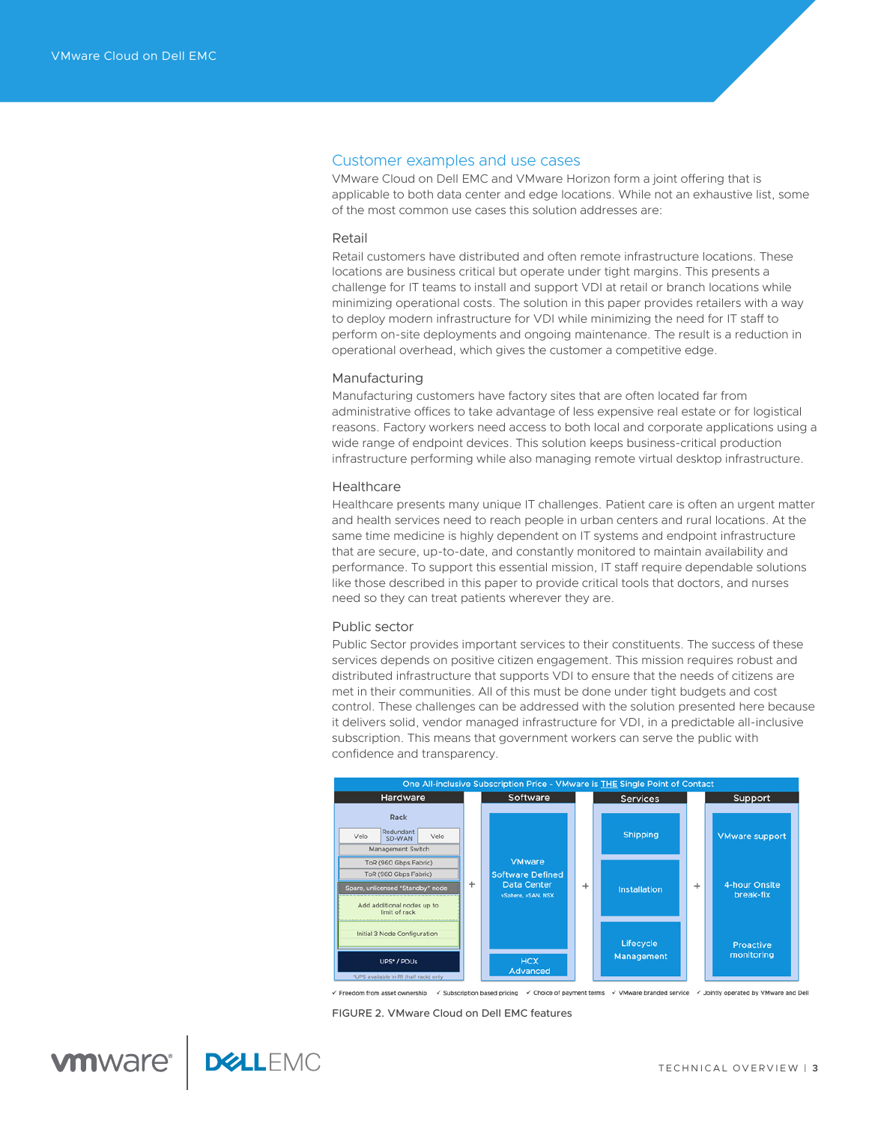## Customer examples and use cases

VMware Cloud on Dell EMC and VMware Horizon form a joint offering that is applicable to both data center and edge locations. While not an exhaustive list, some of the most common use cases this solution addresses are:

#### Retail

Retail customers have distributed and often remote infrastructure locations. These locations are business critical but operate under tight margins. This presents a challenge for IT teams to install and support VDI at retail or branch locations while minimizing operational costs. The solution in this paper provides retailers with a way to deploy modern infrastructure for VDI while minimizing the need for IT staff to perform on-site deployments and ongoing maintenance. The result is a reduction in operational overhead, which gives the customer a competitive edge.

#### Manufacturing

Manufacturing customers have factory sites that are often located far from administrative offices to take advantage of less expensive real estate or for logistical reasons. Factory workers need access to both local and corporate applications using a wide range of endpoint devices. This solution keeps business-critical production infrastructure performing while also managing remote virtual desktop infrastructure.

#### **Healthcare**

Healthcare presents many unique IT challenges. Patient care is often an urgent matter and health services need to reach people in urban centers and rural locations. At the same time medicine is highly dependent on IT systems and endpoint infrastructure that are secure, up-to-date, and constantly monitored to maintain availability and performance. To support this essential mission, IT staff require dependable solutions like those described in this paper to provide critical tools that doctors, and nurses need so they can treat patients wherever they are.

#### Public sector

Public Sector provides important services to their constituents. The success of these services depends on positive citizen engagement. This mission requires robust and distributed infrastructure that supports VDI to ensure that the needs of citizens are met in their communities. All of this must be done under tight budgets and cost control. These challenges can be addressed with the solution presented here because it delivers solid, vendor managed infrastructure for VDI, in a predictable all-inclusive subscription. This means that government workers can serve the public with confidence and transparency.



Freedom from asset ownership < Subscription based pricing < Choice of payment terms < VMware branded service < Jointly operated by VMware and Dell

FIGURE 2. VMware Cloud on Dell EMC features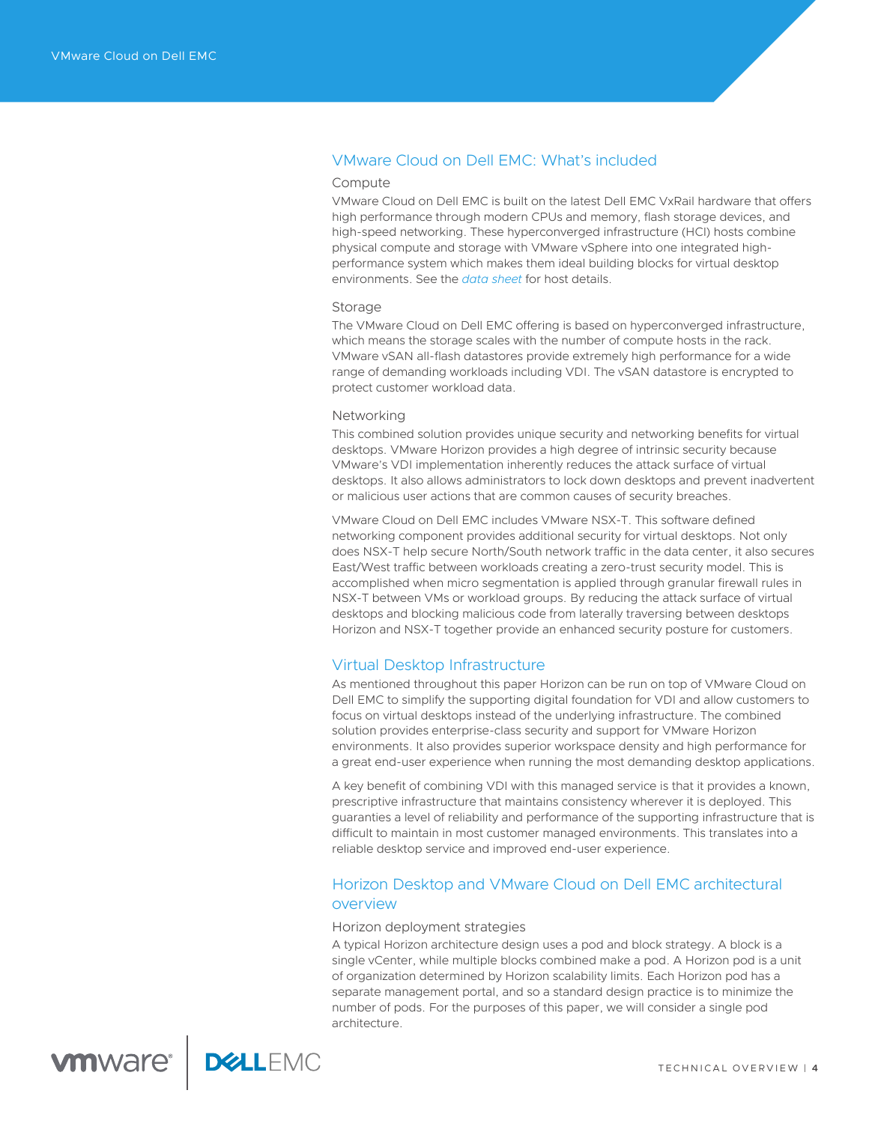# VMware Cloud on Dell EMC: What's included

#### Compute

VMware Cloud on Dell EMC is built on the latest Dell EMC VxRail hardware that offers high performance through modern CPUs and memory, flash storage devices, and high-speed networking. These hyperconverged infrastructure (HCI) hosts combine physical compute and storage with VMware vSphere into one integrated highperformance system which makes them ideal building blocks for virtual desktop environments. See the *[data sheet](https://docs.vmware.com/en/VMware-Cloud-on-Dell-EMC/services/vmc.dell.emc.datasheet.pdf)* for host details.

#### **Storage**

The VMware Cloud on Dell EMC offering is based on hyperconverged infrastructure, which means the storage scales with the number of compute hosts in the rack. VMware vSAN all-flash datastores provide extremely high performance for a wide range of demanding workloads including VDI. The vSAN datastore is encrypted to protect customer workload data.

#### Networking

This combined solution provides unique security and networking benefits for virtual desktops. VMware Horizon provides a high degree of intrinsic security because VMware's VDI implementation inherently reduces the attack surface of virtual desktops. It also allows administrators to lock down desktops and prevent inadvertent or malicious user actions that are common causes of security breaches.

VMware Cloud on Dell EMC includes VMware NSX-T. This software defined networking component provides additional security for virtual desktops. Not only does NSX-T help secure North/South network traffic in the data center, it also secures East/West traffic between workloads creating a zero-trust security model. This is accomplished when micro segmentation is applied through granular firewall rules in NSX-T between VMs or workload groups. By reducing the attack surface of virtual desktops and blocking malicious code from laterally traversing between desktops Horizon and NSX-T together provide an enhanced security posture for customers.

# Virtual Desktop Infrastructure

As mentioned throughout this paper Horizon can be run on top of VMware Cloud on Dell EMC to simplify the supporting digital foundation for VDI and allow customers to focus on virtual desktops instead of the underlying infrastructure. The combined solution provides enterprise-class security and support for VMware Horizon environments. It also provides superior workspace density and high performance for a great end-user experience when running the most demanding desktop applications.

A key benefit of combining VDI with this managed service is that it provides a known, prescriptive infrastructure that maintains consistency wherever it is deployed. This guaranties a level of reliability and performance of the supporting infrastructure that is difficult to maintain in most customer managed environments. This translates into a reliable desktop service and improved end-user experience.

# Horizon Desktop and VMware Cloud on Dell EMC architectural overview

## Horizon deployment strategies

A typical Horizon architecture design uses a pod and block strategy. A block is a single vCenter, while multiple blocks combined make a pod. A Horizon pod is a unit of organization determined by Horizon scalability limits. Each Horizon pod has a separate management portal, and so a standard design practice is to minimize the number of pods. For the purposes of this paper, we will consider a single pod architecture.

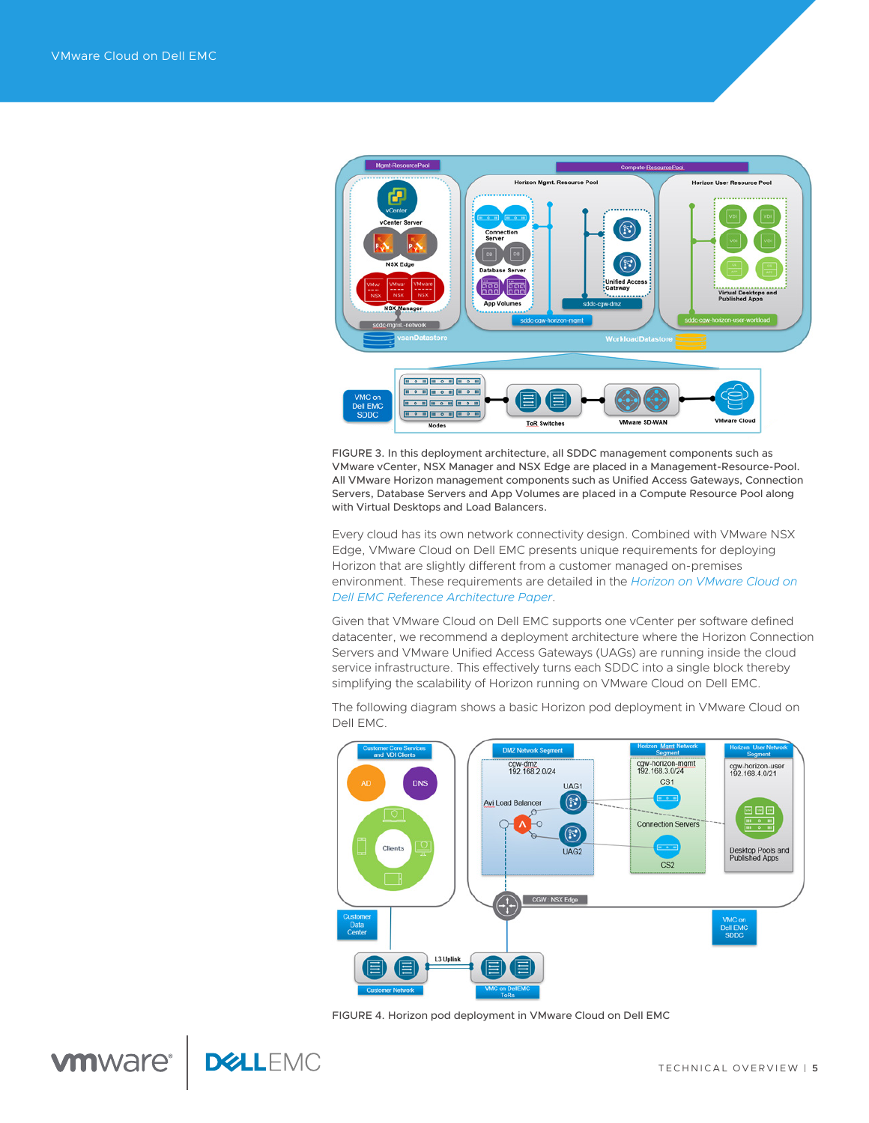

FIGURE 3. In this deployment architecture, all SDDC management components such as VMware vCenter, NSX Manager and NSX Edge are placed in a Management-Resource-Pool. All VMware Horizon management components such as Unified Access Gateways, Connection Servers, Database Servers and App Volumes are placed in a Compute Resource Pool along with Virtual Desktops and Load Balancers.

Every cloud has its own network connectivity design. Combined with VMware NSX Edge, VMware Cloud on Dell EMC presents unique requirements for deploying Horizon that are slightly different from a customer managed on-premises environment. These requirements are detailed in the *[Horizon on VMware Cloud on](https://www.vmware.com/content/dam/digitalmarketing/vmware/en/pdf/products/vmw-horizon-on-vmware-cloud-on-dell-emc-architecture.pdf)  [Dell EMC Reference Architecture Paper](https://www.vmware.com/content/dam/digitalmarketing/vmware/en/pdf/products/vmw-horizon-on-vmware-cloud-on-dell-emc-architecture.pdf)*.

Given that VMware Cloud on Dell EMC supports one vCenter per software defined datacenter, we recommend a deployment architecture where the Horizon Connection Servers and VMware Unified Access Gateways (UAGs) are running inside the cloud service infrastructure. This effectively turns each SDDC into a single block thereby simplifying the scalability of Horizon running on VMware Cloud on Dell EMC.

The following diagram shows a basic Horizon pod deployment in VMware Cloud on Dell EMC.



FIGURE 4. Horizon pod deployment in VMware Cloud on Dell EMC

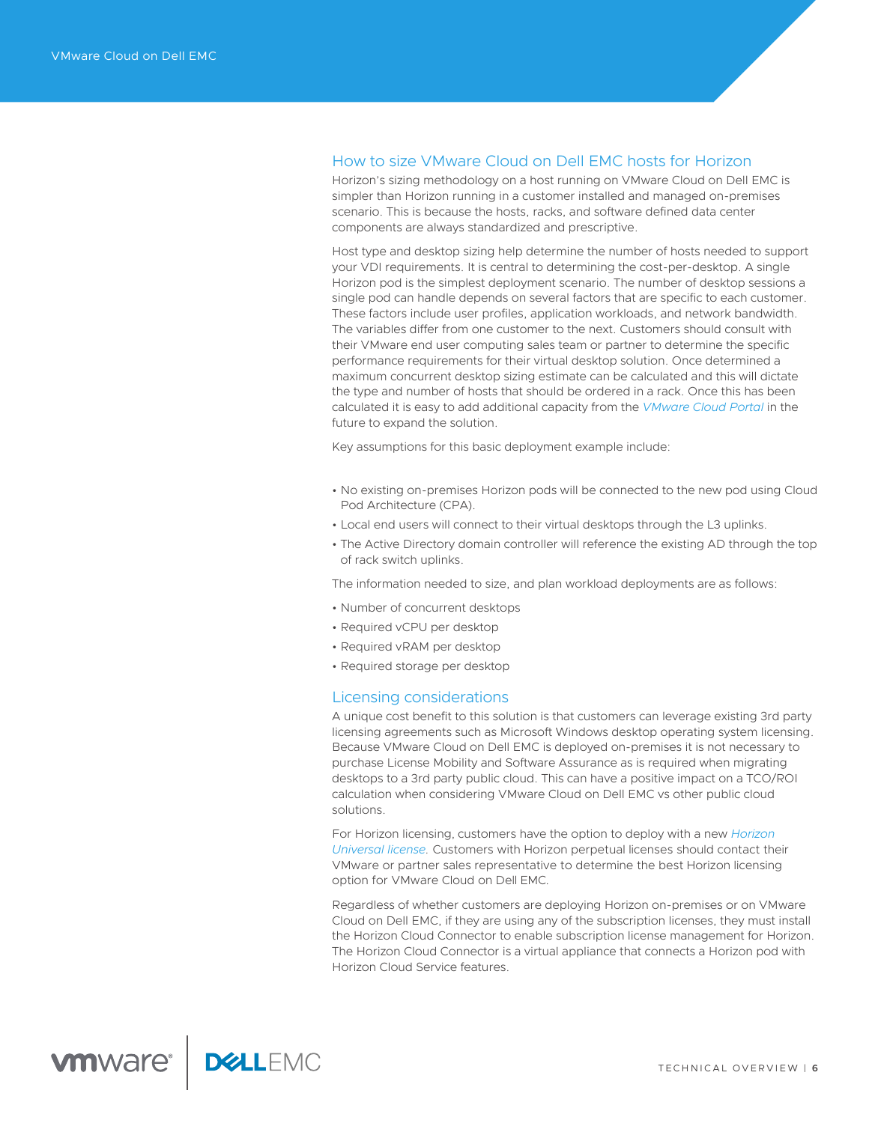# How to size VMware Cloud on Dell EMC hosts for Horizon

Horizon's sizing methodology on a host running on VMware Cloud on Dell EMC is simpler than Horizon running in a customer installed and managed on-premises scenario. This is because the hosts, racks, and software defined data center components are always standardized and prescriptive.

Host type and desktop sizing help determine the number of hosts needed to support your VDI requirements. It is central to determining the cost-per-desktop. A single Horizon pod is the simplest deployment scenario. The number of desktop sessions a single pod can handle depends on several factors that are specific to each customer. These factors include user profiles, application workloads, and network bandwidth. The variables differ from one customer to the next. Customers should consult with their VMware end user computing sales team or partner to determine the specific performance requirements for their virtual desktop solution. Once determined a maximum concurrent desktop sizing estimate can be calculated and this will dictate the type and number of hosts that should be ordered in a rack. Once this has been calculated it is easy to add additional capacity from the *[VMware Cloud Portal](https://cloud.vmware.com/)* in the future to expand the solution.

Key assumptions for this basic deployment example include:

- No existing on-premises Horizon pods will be connected to the new pod using Cloud Pod Architecture (CPA).
- Local end users will connect to their virtual desktops through the L3 uplinks.
- The Active Directory domain controller will reference the existing AD through the top of rack switch uplinks.

The information needed to size, and plan workload deployments are as follows:

- Number of concurrent desktops
- Required vCPU per desktop
- Required vRAM per desktop
- Required storage per desktop

## Licensing considerations

A unique cost benefit to this solution is that customers can leverage existing 3rd party licensing agreements such as Microsoft Windows desktop operating system licensing. Because VMware Cloud on Dell EMC is deployed on-premises it is not necessary to purchase License Mobility and Software Assurance as is required when migrating desktops to a 3rd party public cloud. This can have a positive impact on a TCO/ROI calculation when considering VMware Cloud on Dell EMC vs other public cloud solutions.

For Horizon licensing, customers have the option to deploy with a new *Horiz[on](https://www.vmware.com/products/horizon-universal-license.html) [Universal license](https://www.vmware.com/products/horizon-universal-license.html).* Customers with Horizon perpetual licenses should contact their VMware or partner sales representative to determine the best Horizon licensing option for VMware Cloud on Dell EMC.

Regardless of whether customers are deploying Horizon on-premises or on VMware Cloud on Dell EMC, if they are using any of the subscription licenses, they must install the Horizon Cloud Connector to enable subscription license management for Horizon. The Horizon Cloud Connector is a virtual appliance that connects a Horizon pod with Horizon Cloud Service features.

**vmware<sup>®</sup> | DELLEMC**